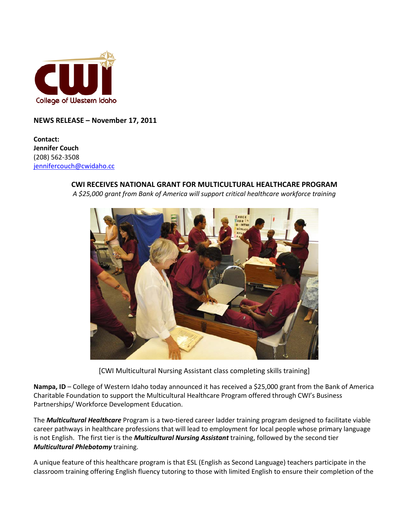

**NEWS RELEASE – November 17, 2011**

**Contact: Jennifer Couch** (208) 562-3508 [jennifercouch@cwidaho.cc](mailto:jennifercouch@cwidaho.cc)

## **CWI RECEIVES NATIONAL GRANT FOR MULTICULTURAL HEALTHCARE PROGRAM**

*A \$25,000 grant from Bank of America will support critical healthcare workforce training*



[CWI Multicultural Nursing Assistant class completing skills training]

**Nampa, ID** – College of Western Idaho today announced it has received a \$25,000 grant from the Bank of America Charitable Foundation to support the Multicultural Healthcare Program offered through CWI's Business Partnerships/ Workforce Development Education.

The *Multicultural Healthcare* Program is a two-tiered career ladder training program designed to facilitate viable career pathways in healthcare professions that will lead to employment for local people whose primary language is not English. The first tier is the *Multicultural Nursing Assistant* training, followed by the second tier *Multicultural Phlebotomy* training.

A unique feature of this healthcare program is that ESL (English as Second Language) teachers participate in the classroom training offering English fluency tutoring to those with limited English to ensure their completion of the